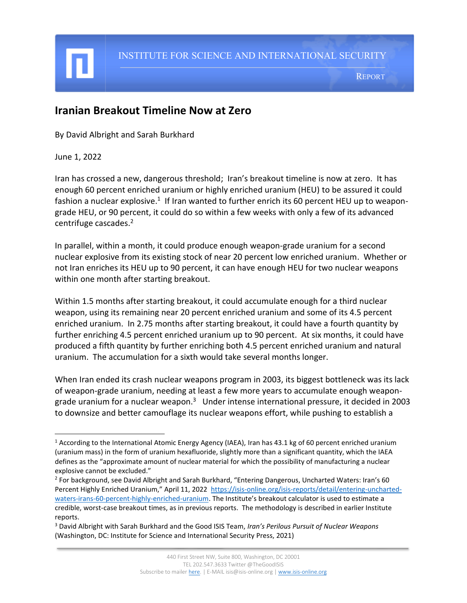## **Iranian Breakout Timeline Now at Zero**

By David Albright and Sarah Burkhard

June 1, 2022

I

Iran has crossed a new, dangerous threshold; Iran's breakout timeline is now at zero. It has enough 60 percent enriched uranium or highly enriched uranium (HEU) to be assured it could fashion a nuclear explosive.<sup>1</sup> If Iran wanted to further enrich its 60 percent HEU up to weapongrade HEU, or 90 percent, it could do so within a few weeks with only a few of its advanced centrifuge cascades. 2

In parallel, within a month, it could produce enough weapon-grade uranium for a second nuclear explosive from its existing stock of near 20 percent low enriched uranium. Whether or not Iran enriches its HEU up to 90 percent, it can have enough HEU for two nuclear weapons within one month after starting breakout.

Within 1.5 months after starting breakout, it could accumulate enough for a third nuclear weapon, using its remaining near 20 percent enriched uranium and some of its 4.5 percent enriched uranium. In 2.75 months after starting breakout, it could have a fourth quantity by further enriching 4.5 percent enriched uranium up to 90 percent. At six months, it could have produced a fifth quantity by further enriching both 4.5 percent enriched uranium and natural uranium. The accumulation for a sixth would take several months longer.

When Iran ended its crash nuclear weapons program in 2003, its biggest bottleneck was its lack of weapon-grade uranium, needing at least a few more years to accumulate enough weapongrade uranium for a nuclear weapon.<sup>3</sup> Under intense international pressure, it decided in 2003 to downsize and better camouflage its nuclear weapons effort, while pushing to establish a

<sup>1</sup> According to the International Atomic Energy Agency (IAEA), Iran has 43.1 kg of 60 percent enriched uranium (uranium mass) in the form of uranium hexafluoride, slightly more than a significant quantity, which the IAEA defines as the "approximate amount of nuclear material for which the possibility of manufacturing a nuclear explosive cannot be excluded."

<sup>&</sup>lt;sup>2</sup> For background, see David Albright and Sarah Burkhard, "Entering Dangerous, Uncharted Waters: Iran's 60 Percent Highly Enriched Uranium," April 11, 2022 [https://isis-online.org/isis-reports/detail/entering-uncharted](https://isis-online.org/isis-reports/detail/entering-uncharted-waters-irans-60-percent-highly-enriched-uranium)[waters-irans-60-percent-highly-enriched-uranium.](https://isis-online.org/isis-reports/detail/entering-uncharted-waters-irans-60-percent-highly-enriched-uranium) The Institute's breakout calculator is used to estimate a credible, worst-case breakout times, as in previous reports. The methodology is described in earlier Institute reports.

<sup>3</sup> David Albright with Sarah Burkhard and the Good ISIS Team, *Iran's Perilous Pursuit of Nuclear Weapons* (Washington, DC: Institute for Science and International Security Press, 2021)